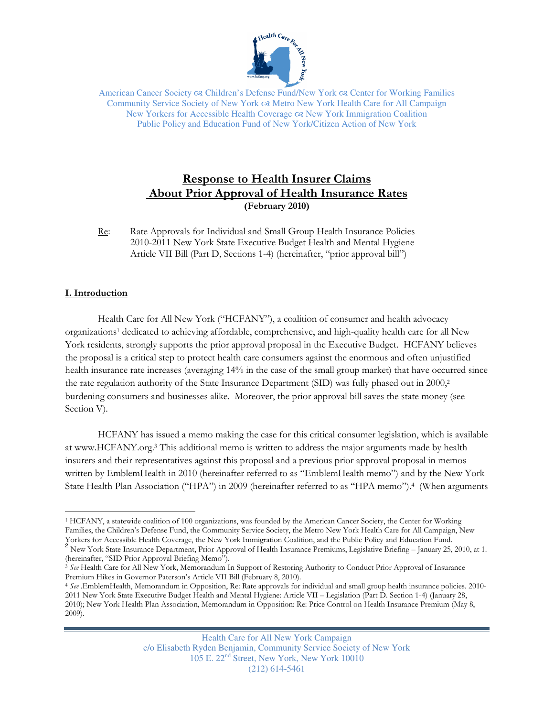

American Cancer Society  $\infty$  Children's Defense Fund/New York  $\infty$  Center for Working Families Community Service Society of New York Metro New York Health Care for All Campaign New Yorkers for Accessible Health Coverage New York Immigration Coalition Public Policy and Education Fund of New York/Citizen Action of New York

# Response to Health Insurer Claims About Prior Approval of Health Insurance Rates (February 2010)

Re: Rate Approvals for Individual and Small Group Health Insurance Policies 2010-2011 New York State Executive Budget Health and Mental Hygiene Article VII Bill (Part D, Sections 1-4) (hereinafter, "prior approval bill")

# I. Introduction

 Health Care for All New York ("HCFANY"), a coalition of consumer and health advocacy organizations<sup>1</sup> dedicated to achieving affordable, comprehensive, and high-quality health care for all New York residents, strongly supports the prior approval proposal in the Executive Budget. HCFANY believes the proposal is a critical step to protect health care consumers against the enormous and often unjustified health insurance rate increases (averaging 14% in the case of the small group market) that have occurred since the rate regulation authority of the State Insurance Department (SID) was fully phased out in 2000,<sup>2</sup> burdening consumers and businesses alike. Moreover, the prior approval bill saves the state money (see Section V).

 HCFANY has issued a memo making the case for this critical consumer legislation, which is available at www.HCFANY.org.<sup>3</sup> This additional memo is written to address the major arguments made by health insurers and their representatives against this proposal and a previous prior approval proposal in memos written by EmblemHealth in 2010 (hereinafter referred to as "EmblemHealth memo") and by the New York State Health Plan Association ("HPA") in 2009 (hereinafter referred to as "HPA memo").<sup>4</sup> (When arguments

 $\overline{a}$ <sup>1</sup> HCFANY, a statewide coalition of 100 organizations, was founded by the American Cancer Society, the Center for Working Families, the Children's Defense Fund, the Community Service Society, the Metro New York Health Care for All Campaign, New Yorkers for Accessible Health Coverage, the New York Immigration Coalition, and the Public Policy and Education Fund.

<sup>&</sup>lt;sup>2</sup> New York State Insurance Department, Prior Approval of Health Insurance Premiums, Legislative Briefing – January 25, 2010, at 1. (hereinafter, "SID Prior Approval Briefing Memo").

<sup>&</sup>lt;sup>3</sup> See Health Care for All New York, Memorandum In Support of Restoring Authority to Conduct Prior Approval of Insurance Premium Hikes in Governor Paterson's Article VII Bill (February 8, 2010).

<sup>4</sup> See .EmblemHealth, Memorandum in Opposition, Re: Rate approvals for individual and small group health insurance policies. 2010- 2011 New York State Executive Budget Health and Mental Hygiene: Article VII – Legislation (Part D. Section 1-4) (January 28, 2010); New York Health Plan Association, Memorandum in Opposition: Re: Price Control on Health Insurance Premium (May 8, 2009).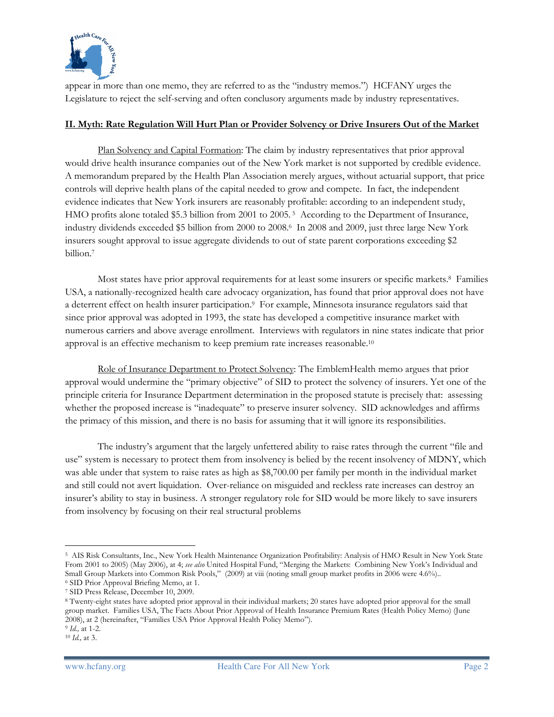

appear in more than one memo, they are referred to as the "industry memos.") HCFANY urges the Legislature to reject the self-serving and often conclusory arguments made by industry representatives.

### II. Myth: Rate Regulation Will Hurt Plan or Provider Solvency or Drive Insurers Out of the Market

 Plan Solvency and Capital Formation: The claim by industry representatives that prior approval would drive health insurance companies out of the New York market is not supported by credible evidence. A memorandum prepared by the Health Plan Association merely argues, without actuarial support, that price controls will deprive health plans of the capital needed to grow and compete. In fact, the independent evidence indicates that New York insurers are reasonably profitable: according to an independent study, HMO profits alone totaled \$5.3 billion from 2001 to 2005. 5 According to the Department of Insurance, industry dividends exceeded \$5 billion from 2000 to 2008.<sup>6</sup> In 2008 and 2009, just three large New York insurers sought approval to issue aggregate dividends to out of state parent corporations exceeding \$2 billion.<sup>7</sup>

Most states have prior approval requirements for at least some insurers or specific markets.<sup>8</sup> Families USA, a nationally-recognized health care advocacy organization, has found that prior approval does not have a deterrent effect on health insurer participation.<sup>9</sup> For example, Minnesota insurance regulators said that since prior approval was adopted in 1993, the state has developed a competitive insurance market with numerous carriers and above average enrollment. Interviews with regulators in nine states indicate that prior approval is an effective mechanism to keep premium rate increases reasonable.<sup>10</sup>

 Role of Insurance Department to Protect Solvency: The EmblemHealth memo argues that prior approval would undermine the "primary objective" of SID to protect the solvency of insurers. Yet one of the principle criteria for Insurance Department determination in the proposed statute is precisely that: assessing whether the proposed increase is "inadequate" to preserve insurer solvency. SID acknowledges and affirms the primacy of this mission, and there is no basis for assuming that it will ignore its responsibilities.

 The industry's argument that the largely unfettered ability to raise rates through the current "file and use" system is necessary to protect them from insolvency is belied by the recent insolvency of MDNY, which was able under that system to raise rates as high as \$8,700.00 per family per month in the individual market and still could not avert liquidation. Over-reliance on misguided and reckless rate increases can destroy an insurer's ability to stay in business. A stronger regulatory role for SID would be more likely to save insurers from insolvency by focusing on their real structural problems

 $\overline{a}$ <sup>5</sup> AIS Risk Consultants, Inc., New York Health Maintenance Organization Profitability: Analysis of HMO Result in New York State From 2001 to 2005) (May 2006), at 4; see also United Hospital Fund, "Merging the Markets: Combining New York's Individual and Small Group Markets into Common Risk Pools," (2009) at viii (noting small group market profits in 2006 were 4.6%).. <sup>6</sup> SID Prior Approval Briefing Memo, at 1.

<sup>7</sup> SID Press Release, December 10, 2009.

<sup>8</sup> Twenty-eight states have adopted prior approval in their individual markets; 20 states have adopted prior approval for the small group market. Families USA, The Facts About Prior Approval of Health Insurance Premium Rates (Health Policy Memo) (June 2008), at 2 (hereinafter, "Families USA Prior Approval Health Policy Memo").

<sup>9</sup> Id., at 1-2.

<sup>10</sup> Id., at 3.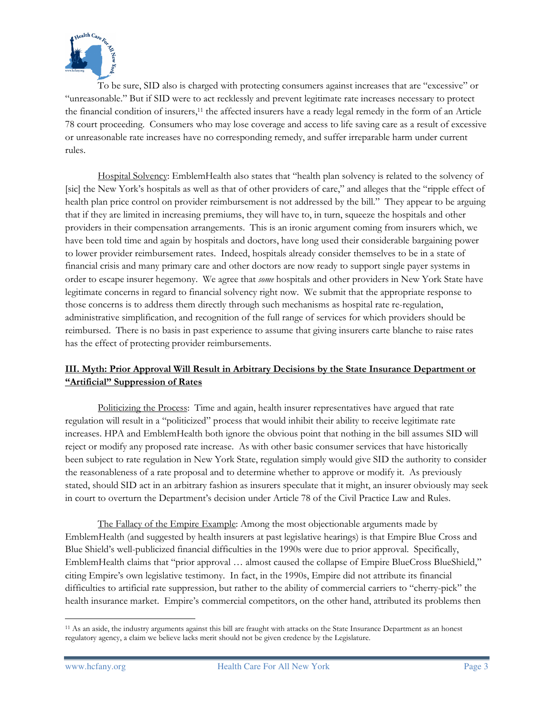

 To be sure, SID also is charged with protecting consumers against increases that are "excessive" or "unreasonable." But if SID were to act recklessly and prevent legitimate rate increases necessary to protect the financial condition of insurers,11 the affected insurers have a ready legal remedy in the form of an Article 78 court proceeding. Consumers who may lose coverage and access to life saving care as a result of excessive or unreasonable rate increases have no corresponding remedy, and suffer irreparable harm under current rules.

 Hospital Solvency: EmblemHealth also states that "health plan solvency is related to the solvency of [sic] the New York's hospitals as well as that of other providers of care," and alleges that the "ripple effect of health plan price control on provider reimbursement is not addressed by the bill." They appear to be arguing that if they are limited in increasing premiums, they will have to, in turn, squeeze the hospitals and other providers in their compensation arrangements. This is an ironic argument coming from insurers which, we have been told time and again by hospitals and doctors, have long used their considerable bargaining power to lower provider reimbursement rates. Indeed, hospitals already consider themselves to be in a state of financial crisis and many primary care and other doctors are now ready to support single payer systems in order to escape insurer hegemony. We agree that some hospitals and other providers in New York State have legitimate concerns in regard to financial solvency right now. We submit that the appropriate response to those concerns is to address them directly through such mechanisms as hospital rate re-regulation, administrative simplification, and recognition of the full range of services for which providers should be reimbursed. There is no basis in past experience to assume that giving insurers carte blanche to raise rates has the effect of protecting provider reimbursements.

# III. Myth: Prior Approval Will Result in Arbitrary Decisions by the State Insurance Department or "Artificial" Suppression of Rates

Politicizing the Process: Time and again, health insurer representatives have argued that rate regulation will result in a "politicized" process that would inhibit their ability to receive legitimate rate increases. HPA and EmblemHealth both ignore the obvious point that nothing in the bill assumes SID will reject or modify any proposed rate increase. As with other basic consumer services that have historically been subject to rate regulation in New York State, regulation simply would give SID the authority to consider the reasonableness of a rate proposal and to determine whether to approve or modify it. As previously stated, should SID act in an arbitrary fashion as insurers speculate that it might, an insurer obviously may seek in court to overturn the Department's decision under Article 78 of the Civil Practice Law and Rules.

 The Fallacy of the Empire Example: Among the most objectionable arguments made by EmblemHealth (and suggested by health insurers at past legislative hearings) is that Empire Blue Cross and Blue Shield's well-publicized financial difficulties in the 1990s were due to prior approval. Specifically, EmblemHealth claims that "prior approval … almost caused the collapse of Empire BlueCross BlueShield," citing Empire's own legislative testimony. In fact, in the 1990s, Empire did not attribute its financial difficulties to artificial rate suppression, but rather to the ability of commercial carriers to "cherry-pick" the health insurance market. Empire's commercial competitors, on the other hand, attributed its problems then

 $\overline{a}$ <sup>11</sup> As an aside, the industry arguments against this bill are fraught with attacks on the State Insurance Department as an honest regulatory agency, a claim we believe lacks merit should not be given credence by the Legislature.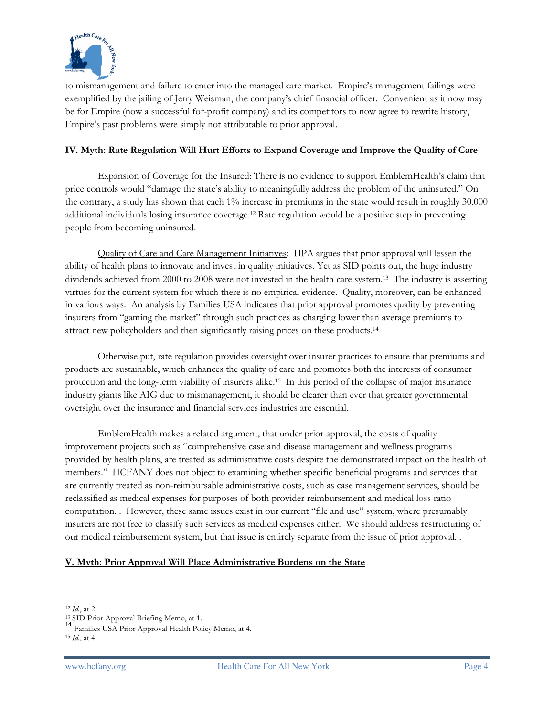

to mismanagement and failure to enter into the managed care market. Empire's management failings were exemplified by the jailing of Jerry Weisman, the company's chief financial officer. Convenient as it now may be for Empire (now a successful for-profit company) and its competitors to now agree to rewrite history, Empire's past problems were simply not attributable to prior approval.

#### IV. Myth: Rate Regulation Will Hurt Efforts to Expand Coverage and Improve the Quality of Care

 Expansion of Coverage for the Insured: There is no evidence to support EmblemHealth's claim that price controls would "damage the state's ability to meaningfully address the problem of the uninsured." On the contrary, a study has shown that each 1% increase in premiums in the state would result in roughly 30,000 additional individuals losing insurance coverage.12 Rate regulation would be a positive step in preventing people from becoming uninsured.

 Quality of Care and Care Management Initiatives: HPA argues that prior approval will lessen the ability of health plans to innovate and invest in quality initiatives. Yet as SID points out, the huge industry dividends achieved from 2000 to 2008 were not invested in the health care system.13 The industry is asserting virtues for the current system for which there is no empirical evidence. Quality, moreover, can be enhanced in various ways. An analysis by Families USA indicates that prior approval promotes quality by preventing insurers from "gaming the market" through such practices as charging lower than average premiums to attract new policyholders and then significantly raising prices on these products.<sup>14</sup>

 Otherwise put, rate regulation provides oversight over insurer practices to ensure that premiums and products are sustainable, which enhances the quality of care and promotes both the interests of consumer protection and the long-term viability of insurers alike.15 In this period of the collapse of major insurance industry giants like AIG due to mismanagement, it should be clearer than ever that greater governmental oversight over the insurance and financial services industries are essential.

 EmblemHealth makes a related argument, that under prior approval, the costs of quality improvement projects such as "comprehensive case and disease management and wellness programs provided by health plans, are treated as administrative costs despite the demonstrated impact on the health of members." HCFANY does not object to examining whether specific beneficial programs and services that are currently treated as non-reimbursable administrative costs, such as case management services, should be reclassified as medical expenses for purposes of both provider reimbursement and medical loss ratio computation. . However, these same issues exist in our current "file and use" system, where presumably insurers are not free to classify such services as medical expenses either. We should address restructuring of our medical reimbursement system, but that issue is entirely separate from the issue of prior approval. .

# V. Myth: Prior Approval Will Place Administrative Burdens on the State

 $\overline{a}$ <sup>12</sup> Id., at 2.

<sup>13</sup> SID Prior Approval Briefing Memo, at 1.

<sup>14</sup> Families USA Prior Approval Health Policy Memo, at 4.

 $15$  *Id.*, at 4.